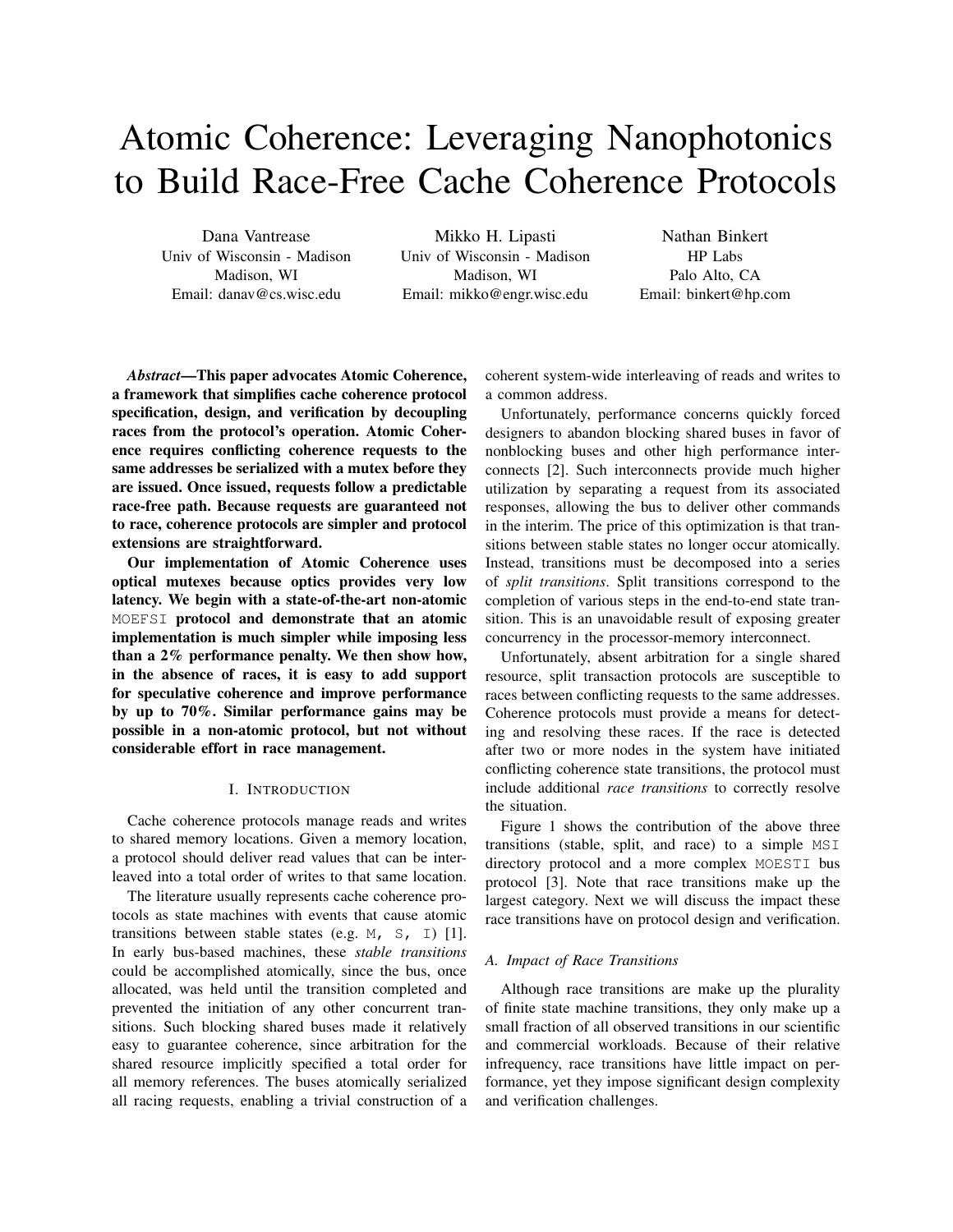# Atomic Coherence: Leveraging Nanophotonics to Build Race-Free Cache Coherence Protocols

Dana Vantrease Univ of Wisconsin - Madison Madison, WI Email: danav@cs.wisc.edu

Mikko H. Lipasti Univ of Wisconsin - Madison Madison, WI Email: mikko@engr.wisc.edu

Nathan Binkert HP Labs Palo Alto, CA Email: binkert@hp.com

*Abstract*—This paper advocates Atomic Coherence, a framework that simplifies cache coherence protocol specification, design, and verification by decoupling races from the protocol's operation. Atomic Coherence requires conflicting coherence requests to the same addresses be serialized with a mutex before they are issued. Once issued, requests follow a predictable race-free path. Because requests are guaranteed not to race, coherence protocols are simpler and protocol extensions are straightforward.

Our implementation of Atomic Coherence uses optical mutexes because optics provides very low latency. We begin with a state-of-the-art non-atomic MOEFSI protocol and demonstrate that an atomic implementation is much simpler while imposing less than a 2% performance penalty. We then show how, in the absence of races, it is easy to add support for speculative coherence and improve performance by up to 70%. Similar performance gains may be possible in a non-atomic protocol, but not without considerable effort in race management.

# I. INTRODUCTION

Cache coherence protocols manage reads and writes to shared memory locations. Given a memory location, a protocol should deliver read values that can be interleaved into a total order of writes to that same location.

The literature usually represents cache coherence protocols as state machines with events that cause atomic transitions between stable states (e.g.  $M$ , S, I) [1]. In early bus-based machines, these *stable transitions* could be accomplished atomically, since the bus, once allocated, was held until the transition completed and prevented the initiation of any other concurrent transitions. Such blocking shared buses made it relatively easy to guarantee coherence, since arbitration for the shared resource implicitly specified a total order for all memory references. The buses atomically serialized all racing requests, enabling a trivial construction of a coherent system-wide interleaving of reads and writes to a common address.

Unfortunately, performance concerns quickly forced designers to abandon blocking shared buses in favor of nonblocking buses and other high performance interconnects [2]. Such interconnects provide much higher utilization by separating a request from its associated responses, allowing the bus to deliver other commands in the interim. The price of this optimization is that transitions between stable states no longer occur atomically. Instead, transitions must be decomposed into a series of *split transitions*. Split transitions correspond to the completion of various steps in the end-to-end state transition. This is an unavoidable result of exposing greater concurrency in the processor-memory interconnect.

Unfortunately, absent arbitration for a single shared resource, split transaction protocols are susceptible to races between conflicting requests to the same addresses. Coherence protocols must provide a means for detecting and resolving these races. If the race is detected after two or more nodes in the system have initiated conflicting coherence state transitions, the protocol must include additional *race transitions* to correctly resolve the situation.

Figure 1 shows the contribution of the above three transitions (stable, split, and race) to a simple MSI directory protocol and a more complex MOESTI bus protocol [3]. Note that race transitions make up the largest category. Next we will discuss the impact these race transitions have on protocol design and verification.

# *A. Impact of Race Transitions*

Although race transitions are make up the plurality of finite state machine transitions, they only make up a small fraction of all observed transitions in our scientific and commercial workloads. Because of their relative infrequency, race transitions have little impact on performance, yet they impose significant design complexity and verification challenges.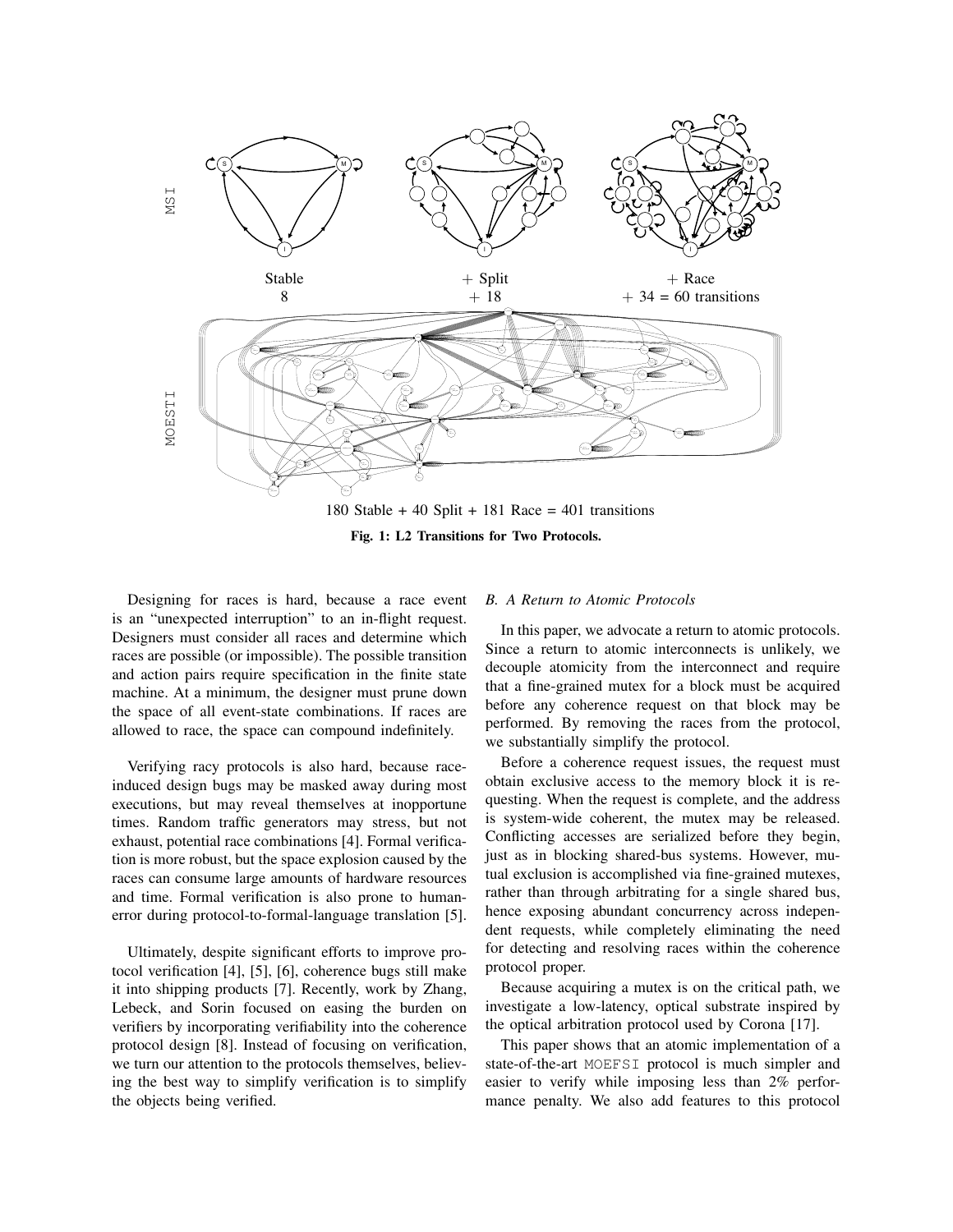

Fig. 1: L2 Transitions for Two Protocols.

Designing for races is hard, because a race event is an "unexpected interruption" to an in-flight request. Designers must consider all races and determine which races are possible (or impossible). The possible transition and action pairs require specification in the finite state machine. At a minimum, the designer must prune down the space of all event-state combinations. If races are allowed to race, the space can compound indefinitely.

Verifying racy protocols is also hard, because raceinduced design bugs may be masked away during most executions, but may reveal themselves at inopportune times. Random traffic generators may stress, but not exhaust, potential race combinations [4]. Formal verification is more robust, but the space explosion caused by the races can consume large amounts of hardware resources and time. Formal verification is also prone to humanerror during protocol-to-formal-language translation [5].

Ultimately, despite significant efforts to improve protocol verification [4], [5], [6], coherence bugs still make it into shipping products [7]. Recently, work by Zhang, Lebeck, and Sorin focused on easing the burden on verifiers by incorporating verifiability into the coherence protocol design [8]. Instead of focusing on verification, we turn our attention to the protocols themselves, believing the best way to simplify verification is to simplify the objects being verified.

# *B. A Return to Atomic Protocols*

In this paper, we advocate a return to atomic protocols. Since a return to atomic interconnects is unlikely, we decouple atomicity from the interconnect and require that a fine-grained mutex for a block must be acquired before any coherence request on that block may be performed. By removing the races from the protocol, we substantially simplify the protocol.

Before a coherence request issues, the request must obtain exclusive access to the memory block it is requesting. When the request is complete, and the address is system-wide coherent, the mutex may be released. Conflicting accesses are serialized before they begin, just as in blocking shared-bus systems. However, mutual exclusion is accomplished via fine-grained mutexes, rather than through arbitrating for a single shared bus, hence exposing abundant concurrency across independent requests, while completely eliminating the need for detecting and resolving races within the coherence protocol proper.

Because acquiring a mutex is on the critical path, we investigate a low-latency, optical substrate inspired by the optical arbitration protocol used by Corona [17].

This paper shows that an atomic implementation of a state-of-the-art MOEFSI protocol is much simpler and easier to verify while imposing less than 2% performance penalty. We also add features to this protocol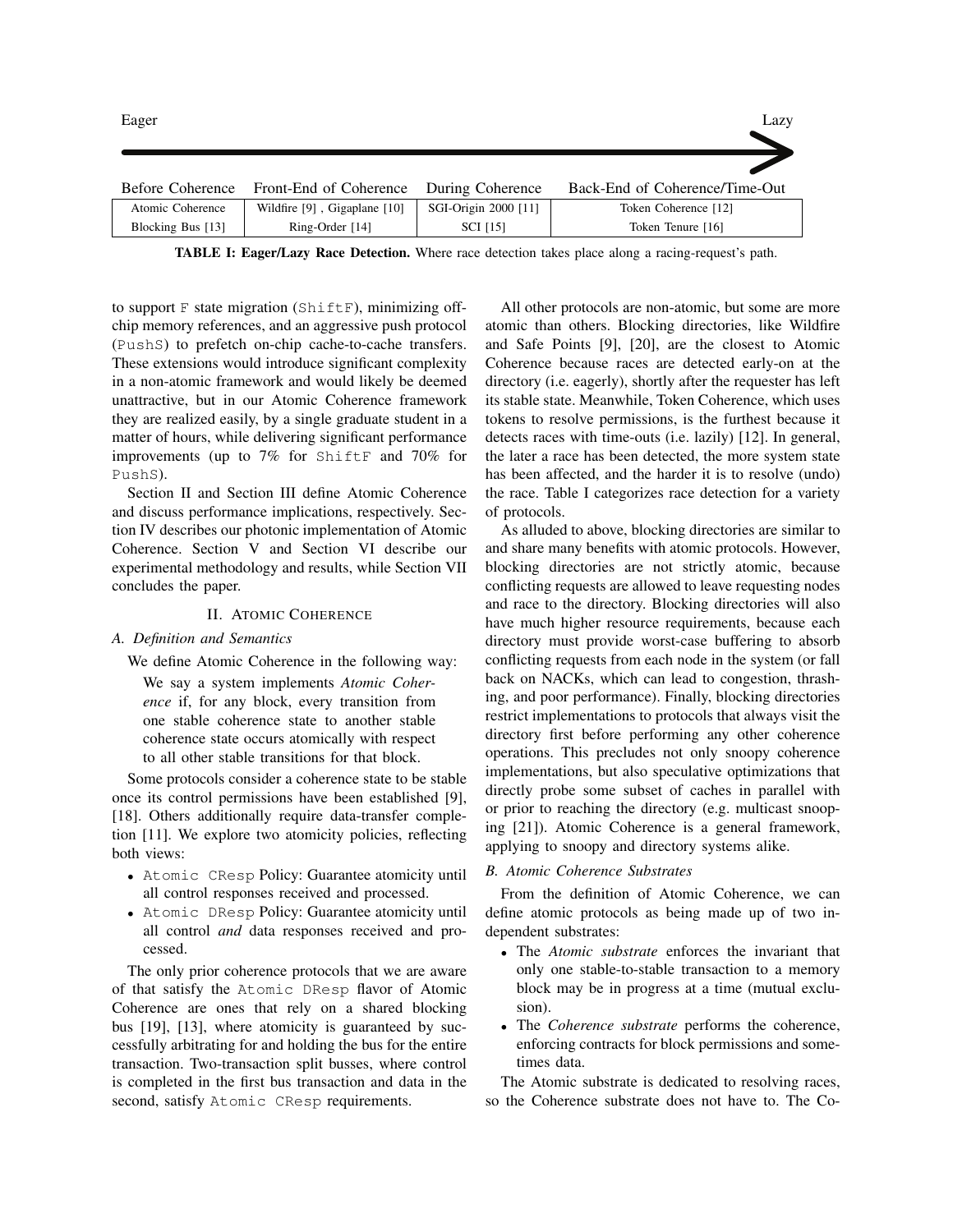| Eager                   |                              |                      | Lazy                           |
|-------------------------|------------------------------|----------------------|--------------------------------|
| <b>Before Coherence</b> | Front-End of Coherence       | During Coherence     | Back-End of Coherence/Time-Out |
| Atomic Coherence        | Wildfire [9], Gigaplane [10] | SGI-Origin 2000 [11] | Token Coherence [12]           |
| Blocking Bus [13]       | Ring-Order [14]              | SCI [15]             | Token Tenure [16]              |

TABLE I: Eager/Lazy Race Detection. Where race detection takes place along a racing-request's path.

to support  $F$  state migration (ShiftF), minimizing offchip memory references, and an aggressive push protocol (PushS) to prefetch on-chip cache-to-cache transfers. These extensions would introduce significant complexity in a non-atomic framework and would likely be deemed unattractive, but in our Atomic Coherence framework they are realized easily, by a single graduate student in a matter of hours, while delivering significant performance improvements (up to 7% for ShiftF and 70% for PushS).

Section II and Section III define Atomic Coherence and discuss performance implications, respectively. Section IV describes our photonic implementation of Atomic Coherence. Section V and Section VI describe our experimental methodology and results, while Section VII concludes the paper.

## II. ATOMIC COHERENCE

# *A. Definition and Semantics*

We define Atomic Coherence in the following way:

We say a system implements *Atomic Coherence* if, for any block, every transition from one stable coherence state to another stable coherence state occurs atomically with respect to all other stable transitions for that block.

Some protocols consider a coherence state to be stable once its control permissions have been established [9], [18]. Others additionally require data-transfer completion [11]. We explore two atomicity policies, reflecting both views:

- Atomic CResp Policy: Guarantee atomicity until all control responses received and processed.
- Atomic DResp Policy: Guarantee atomicity until all control *and* data responses received and processed.

The only prior coherence protocols that we are aware of that satisfy the Atomic DResp flavor of Atomic Coherence are ones that rely on a shared blocking bus [19], [13], where atomicity is guaranteed by successfully arbitrating for and holding the bus for the entire transaction. Two-transaction split busses, where control is completed in the first bus transaction and data in the second, satisfy Atomic CResp requirements.

All other protocols are non-atomic, but some are more atomic than others. Blocking directories, like Wildfire and Safe Points [9], [20], are the closest to Atomic Coherence because races are detected early-on at the directory (i.e. eagerly), shortly after the requester has left its stable state. Meanwhile, Token Coherence, which uses tokens to resolve permissions, is the furthest because it detects races with time-outs (i.e. lazily) [12]. In general, the later a race has been detected, the more system state has been affected, and the harder it is to resolve (undo) the race. Table I categorizes race detection for a variety of protocols.

As alluded to above, blocking directories are similar to and share many benefits with atomic protocols. However, blocking directories are not strictly atomic, because conflicting requests are allowed to leave requesting nodes and race to the directory. Blocking directories will also have much higher resource requirements, because each directory must provide worst-case buffering to absorb conflicting requests from each node in the system (or fall back on NACKs, which can lead to congestion, thrashing, and poor performance). Finally, blocking directories restrict implementations to protocols that always visit the directory first before performing any other coherence operations. This precludes not only snoopy coherence implementations, but also speculative optimizations that directly probe some subset of caches in parallel with or prior to reaching the directory (e.g. multicast snooping [21]). Atomic Coherence is a general framework, applying to snoopy and directory systems alike.

# *B. Atomic Coherence Substrates*

From the definition of Atomic Coherence, we can define atomic protocols as being made up of two independent substrates:

- The *Atomic substrate* enforces the invariant that only one stable-to-stable transaction to a memory block may be in progress at a time (mutual exclusion).
- The *Coherence substrate* performs the coherence, enforcing contracts for block permissions and sometimes data.

The Atomic substrate is dedicated to resolving races, so the Coherence substrate does not have to. The Co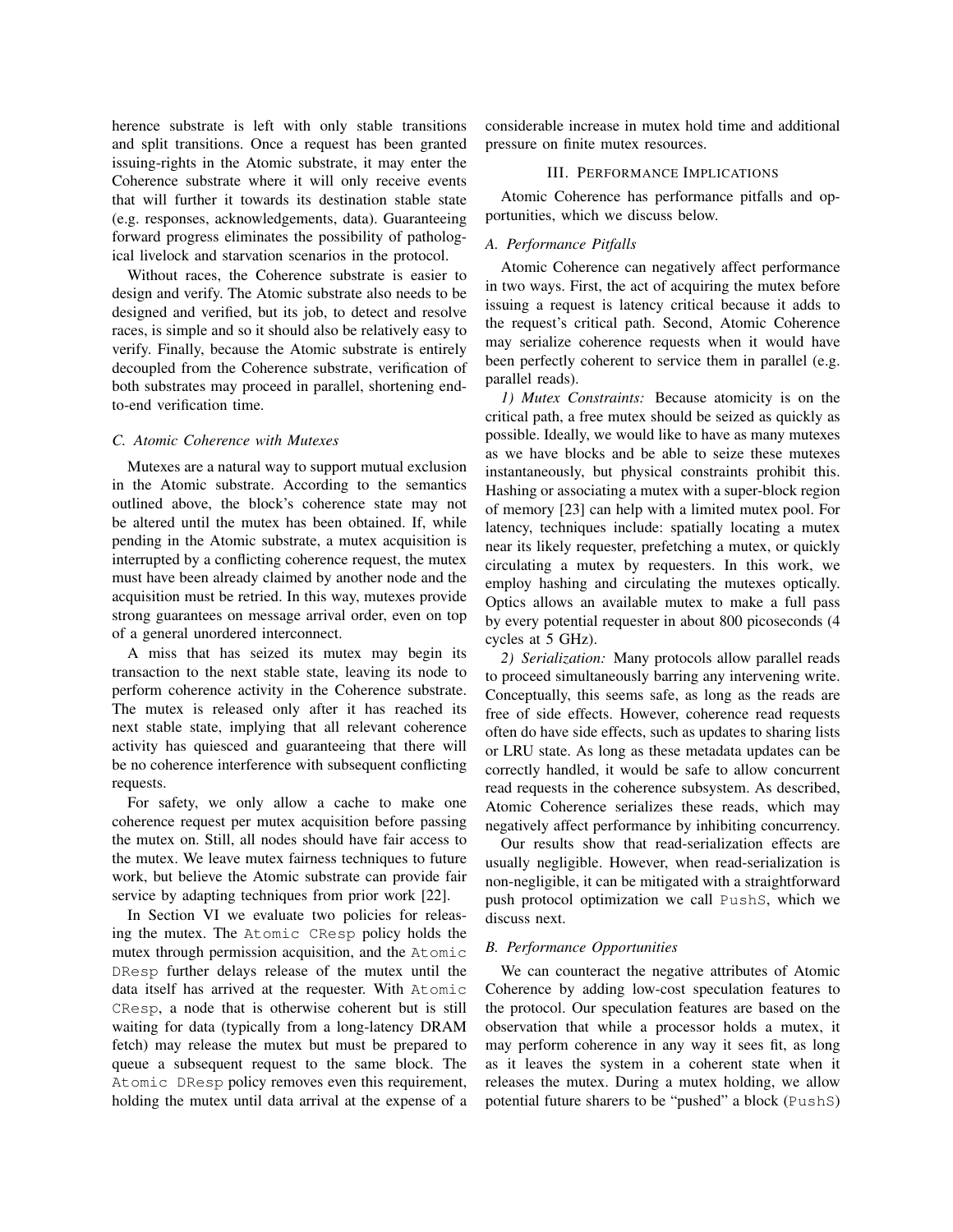herence substrate is left with only stable transitions and split transitions. Once a request has been granted issuing-rights in the Atomic substrate, it may enter the Coherence substrate where it will only receive events that will further it towards its destination stable state (e.g. responses, acknowledgements, data). Guaranteeing forward progress eliminates the possibility of pathological livelock and starvation scenarios in the protocol.

Without races, the Coherence substrate is easier to design and verify. The Atomic substrate also needs to be designed and verified, but its job, to detect and resolve races, is simple and so it should also be relatively easy to verify. Finally, because the Atomic substrate is entirely decoupled from the Coherence substrate, verification of both substrates may proceed in parallel, shortening endto-end verification time.

# *C. Atomic Coherence with Mutexes*

Mutexes are a natural way to support mutual exclusion in the Atomic substrate. According to the semantics outlined above, the block's coherence state may not be altered until the mutex has been obtained. If, while pending in the Atomic substrate, a mutex acquisition is interrupted by a conflicting coherence request, the mutex must have been already claimed by another node and the acquisition must be retried. In this way, mutexes provide strong guarantees on message arrival order, even on top of a general unordered interconnect.

A miss that has seized its mutex may begin its transaction to the next stable state, leaving its node to perform coherence activity in the Coherence substrate. The mutex is released only after it has reached its next stable state, implying that all relevant coherence activity has quiesced and guaranteeing that there will be no coherence interference with subsequent conflicting requests.

For safety, we only allow a cache to make one coherence request per mutex acquisition before passing the mutex on. Still, all nodes should have fair access to the mutex. We leave mutex fairness techniques to future work, but believe the Atomic substrate can provide fair service by adapting techniques from prior work [22].

In Section VI we evaluate two policies for releasing the mutex. The Atomic CResp policy holds the mutex through permission acquisition, and the Atomic DResp further delays release of the mutex until the data itself has arrived at the requester. With Atomic CResp, a node that is otherwise coherent but is still waiting for data (typically from a long-latency DRAM fetch) may release the mutex but must be prepared to queue a subsequent request to the same block. The Atomic DResp policy removes even this requirement, holding the mutex until data arrival at the expense of a considerable increase in mutex hold time and additional pressure on finite mutex resources.

# III. PERFORMANCE IMPLICATIONS

Atomic Coherence has performance pitfalls and opportunities, which we discuss below.

# *A. Performance Pitfalls*

Atomic Coherence can negatively affect performance in two ways. First, the act of acquiring the mutex before issuing a request is latency critical because it adds to the request's critical path. Second, Atomic Coherence may serialize coherence requests when it would have been perfectly coherent to service them in parallel (e.g. parallel reads).

*1) Mutex Constraints:* Because atomicity is on the critical path, a free mutex should be seized as quickly as possible. Ideally, we would like to have as many mutexes as we have blocks and be able to seize these mutexes instantaneously, but physical constraints prohibit this. Hashing or associating a mutex with a super-block region of memory [23] can help with a limited mutex pool. For latency, techniques include: spatially locating a mutex near its likely requester, prefetching a mutex, or quickly circulating a mutex by requesters. In this work, we employ hashing and circulating the mutexes optically. Optics allows an available mutex to make a full pass by every potential requester in about 800 picoseconds (4 cycles at 5 GHz).

*2) Serialization:* Many protocols allow parallel reads to proceed simultaneously barring any intervening write. Conceptually, this seems safe, as long as the reads are free of side effects. However, coherence read requests often do have side effects, such as updates to sharing lists or LRU state. As long as these metadata updates can be correctly handled, it would be safe to allow concurrent read requests in the coherence subsystem. As described, Atomic Coherence serializes these reads, which may negatively affect performance by inhibiting concurrency.

Our results show that read-serialization effects are usually negligible. However, when read-serialization is non-negligible, it can be mitigated with a straightforward push protocol optimization we call PushS, which we discuss next.

## *B. Performance Opportunities*

We can counteract the negative attributes of Atomic Coherence by adding low-cost speculation features to the protocol. Our speculation features are based on the observation that while a processor holds a mutex, it may perform coherence in any way it sees fit, as long as it leaves the system in a coherent state when it releases the mutex. During a mutex holding, we allow potential future sharers to be "pushed" a block (PushS)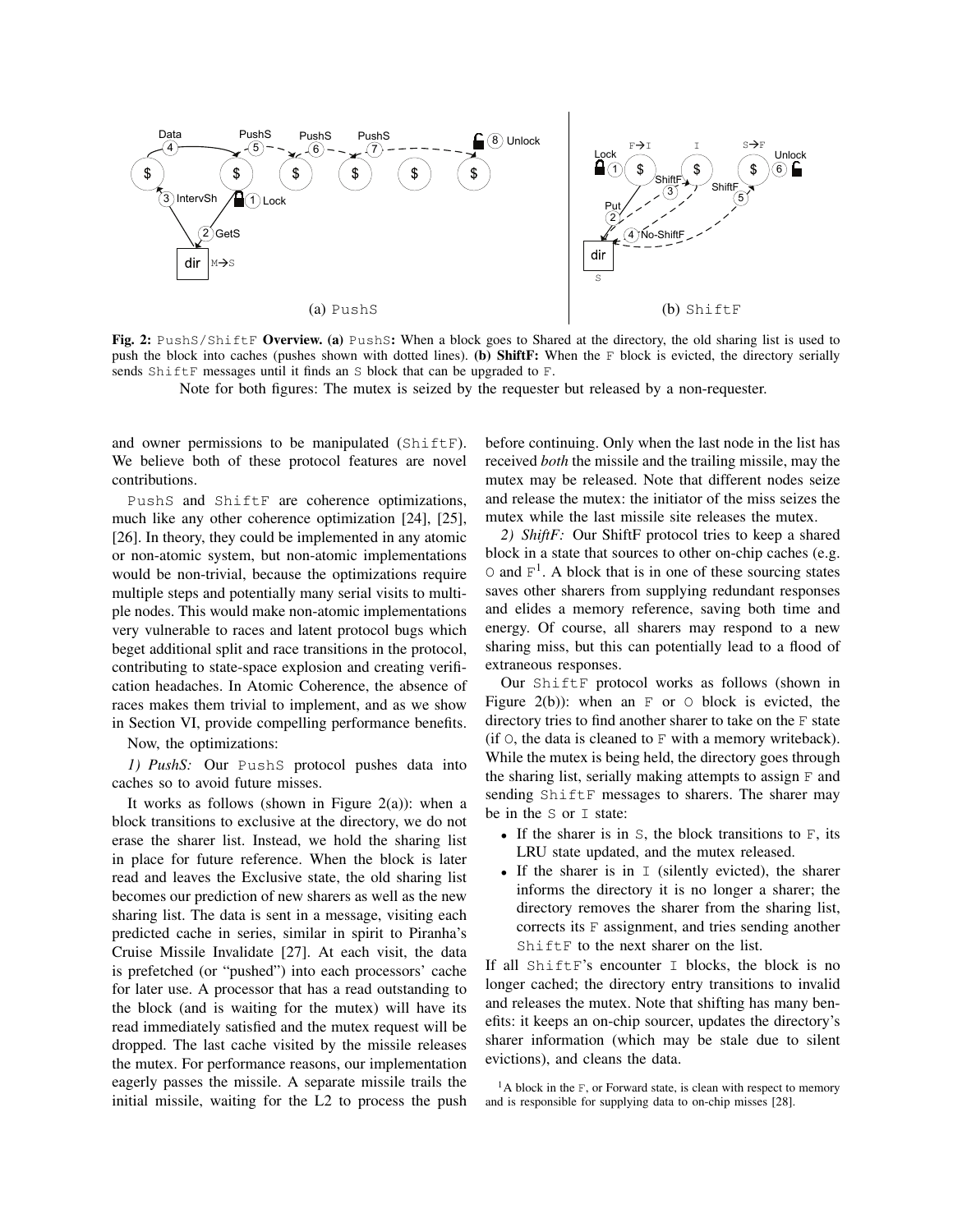

Fig. 2: PushS/ShiftF Overview. (a) PushS: When a block goes to Shared at the directory, the old sharing list is used to push the block into caches (pushes shown with dotted lines). (b) ShiftF: When the F block is evicted, the directory serially sends ShiftF messages until it finds an S block that can be upgraded to F.

Note for both figures: The mutex is seized by the requester but released by a non-requester.

and owner permissions to be manipulated (ShiftF). We believe both of these protocol features are novel contributions.

PushS and ShiftF are coherence optimizations, much like any other coherence optimization [24], [25], [26]. In theory, they could be implemented in any atomic or non-atomic system, but non-atomic implementations would be non-trivial, because the optimizations require multiple steps and potentially many serial visits to multiple nodes. This would make non-atomic implementations very vulnerable to races and latent protocol bugs which beget additional split and race transitions in the protocol, contributing to state-space explosion and creating verification headaches. In Atomic Coherence, the absence of races makes them trivial to implement, and as we show in Section VI, provide compelling performance benefits.

# Now, the optimizations:

*1) PushS:* Our PushS protocol pushes data into caches so to avoid future misses.

It works as follows (shown in Figure  $2(a)$ ): when a block transitions to exclusive at the directory, we do not erase the sharer list. Instead, we hold the sharing list in place for future reference. When the block is later read and leaves the Exclusive state, the old sharing list becomes our prediction of new sharers as well as the new sharing list. The data is sent in a message, visiting each predicted cache in series, similar in spirit to Piranha's Cruise Missile Invalidate [27]. At each visit, the data is prefetched (or "pushed") into each processors' cache for later use. A processor that has a read outstanding to the block (and is waiting for the mutex) will have its read immediately satisfied and the mutex request will be dropped. The last cache visited by the missile releases the mutex. For performance reasons, our implementation eagerly passes the missile. A separate missile trails the initial missile, waiting for the L2 to process the push before continuing. Only when the last node in the list has received *both* the missile and the trailing missile, may the mutex may be released. Note that different nodes seize and release the mutex: the initiator of the miss seizes the mutex while the last missile site releases the mutex.

*2) ShiftF:* Our ShiftF protocol tries to keep a shared block in a state that sources to other on-chip caches (e.g.  $\circ$  and  $F^1$ . A block that is in one of these sourcing states saves other sharers from supplying redundant responses and elides a memory reference, saving both time and energy. Of course, all sharers may respond to a new sharing miss, but this can potentially lead to a flood of extraneous responses.

Our ShiftF protocol works as follows (shown in Figure 2(b)): when an  $F$  or  $\circ$  block is evicted, the directory tries to find another sharer to take on the F state (if  $\circ$ , the data is cleaned to  $F$  with a memory writeback). While the mutex is being held, the directory goes through the sharing list, serially making attempts to assign  $F$  and sending ShiftF messages to sharers. The sharer may be in the S or I state:

- If the sharer is in  $S$ , the block transitions to  $F$ , its LRU state updated, and the mutex released.
- If the sharer is in I (silently evicted), the sharer informs the directory it is no longer a sharer; the directory removes the sharer from the sharing list, corrects its F assignment, and tries sending another ShiftF to the next sharer on the list.

If all ShiftF's encounter I blocks, the block is no longer cached; the directory entry transitions to invalid and releases the mutex. Note that shifting has many benefits: it keeps an on-chip sourcer, updates the directory's sharer information (which may be stale due to silent evictions), and cleans the data.

 $1A$  block in the F, or Forward state, is clean with respect to memory and is responsible for supplying data to on-chip misses [28].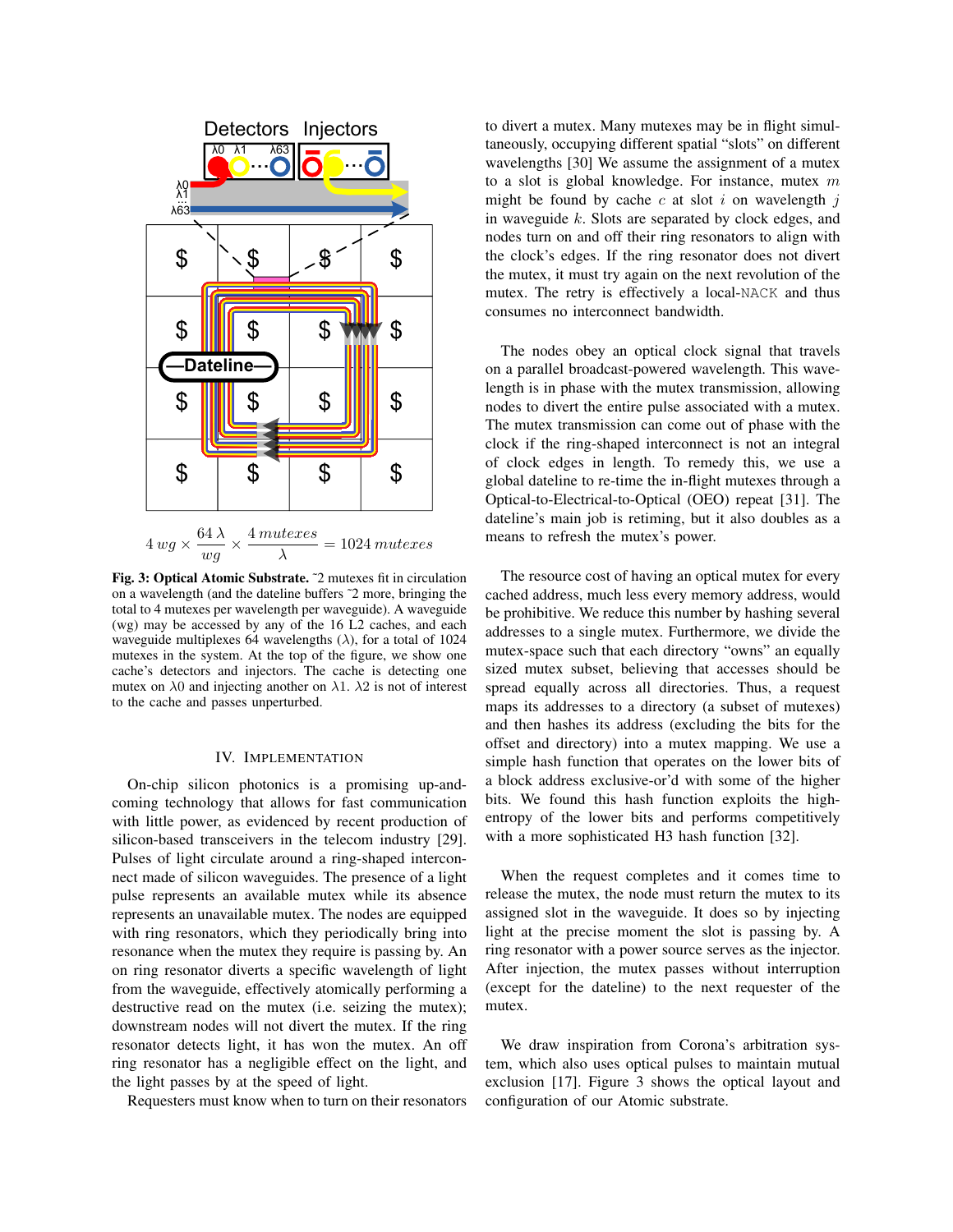

Fig. 3: Optical Atomic Substrate. ˜2 mutexes fit in circulation on a wavelength (and the dateline buffers ˜2 more, bringing the total to 4 mutexes per wavelength per waveguide). A waveguide (wg) may be accessed by any of the 16 L2 caches, and each waveguide multiplexes 64 wavelengths  $(\lambda)$ , for a total of 1024 mutexes in the system. At the top of the figure, we show one cache's detectors and injectors. The cache is detecting one mutex on  $\lambda$ 0 and injecting another on  $\lambda$ 1.  $\lambda$ 2 is not of interest to the cache and passes unperturbed.

#### IV. IMPLEMENTATION

On-chip silicon photonics is a promising up-andcoming technology that allows for fast communication with little power, as evidenced by recent production of silicon-based transceivers in the telecom industry [29]. Pulses of light circulate around a ring-shaped interconnect made of silicon waveguides. The presence of a light pulse represents an available mutex while its absence represents an unavailable mutex. The nodes are equipped with ring resonators, which they periodically bring into resonance when the mutex they require is passing by. An on ring resonator diverts a specific wavelength of light from the waveguide, effectively atomically performing a destructive read on the mutex (i.e. seizing the mutex); downstream nodes will not divert the mutex. If the ring resonator detects light, it has won the mutex. An off ring resonator has a negligible effect on the light, and the light passes by at the speed of light.

Requesters must know when to turn on their resonators

to divert a mutex. Many mutexes may be in flight simultaneously, occupying different spatial "slots" on different wavelengths [30] We assume the assignment of a mutex to a slot is global knowledge. For instance, mutex  $m$ might be found by cache c at slot i on wavelength j in waveguide k. Slots are separated by clock edges, and nodes turn on and off their ring resonators to align with the clock's edges. If the ring resonator does not divert the mutex, it must try again on the next revolution of the mutex. The retry is effectively a local-NACK and thus consumes no interconnect bandwidth.

The nodes obey an optical clock signal that travels on a parallel broadcast-powered wavelength. This wavelength is in phase with the mutex transmission, allowing nodes to divert the entire pulse associated with a mutex. The mutex transmission can come out of phase with the clock if the ring-shaped interconnect is not an integral of clock edges in length. To remedy this, we use a global dateline to re-time the in-flight mutexes through a Optical-to-Electrical-to-Optical (OEO) repeat [31]. The dateline's main job is retiming, but it also doubles as a means to refresh the mutex's power.

The resource cost of having an optical mutex for every cached address, much less every memory address, would be prohibitive. We reduce this number by hashing several addresses to a single mutex. Furthermore, we divide the mutex-space such that each directory "owns" an equally sized mutex subset, believing that accesses should be spread equally across all directories. Thus, a request maps its addresses to a directory (a subset of mutexes) and then hashes its address (excluding the bits for the offset and directory) into a mutex mapping. We use a simple hash function that operates on the lower bits of a block address exclusive-or'd with some of the higher bits. We found this hash function exploits the highentropy of the lower bits and performs competitively with a more sophisticated H3 hash function [32].

When the request completes and it comes time to release the mutex, the node must return the mutex to its assigned slot in the waveguide. It does so by injecting light at the precise moment the slot is passing by. A ring resonator with a power source serves as the injector. After injection, the mutex passes without interruption (except for the dateline) to the next requester of the mutex.

We draw inspiration from Corona's arbitration system, which also uses optical pulses to maintain mutual exclusion [17]. Figure 3 shows the optical layout and configuration of our Atomic substrate.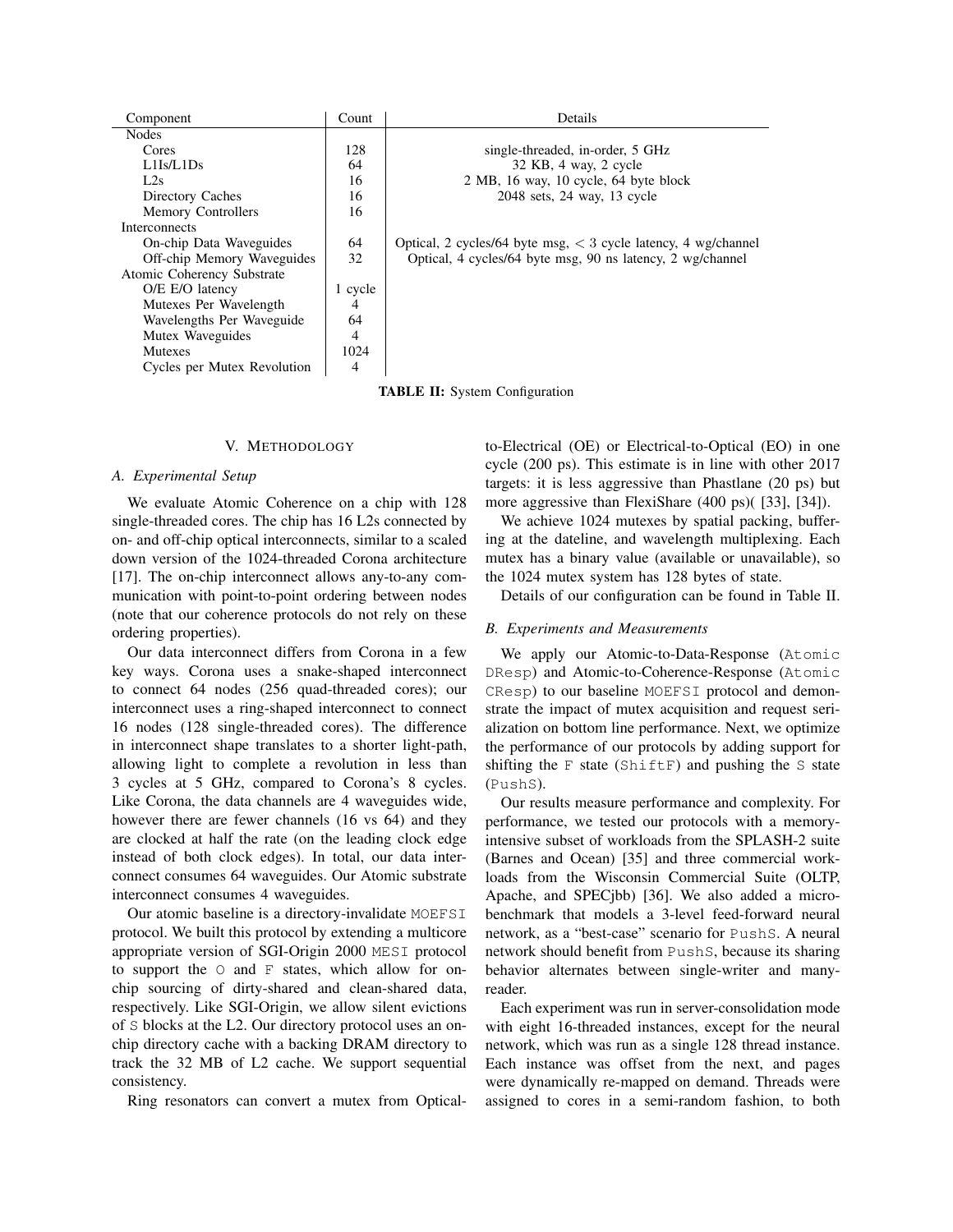| Component                   | Count   | Details                                                          |  |
|-----------------------------|---------|------------------------------------------------------------------|--|
| <b>Nodes</b>                |         |                                                                  |  |
| Cores                       | 128     | single-threaded, in-order, 5 GHz                                 |  |
| L1Is/L1Ds                   | 64      | 32 KB, 4 way, 2 cycle                                            |  |
| L2s                         | 16      | 2 MB, 16 way, 10 cycle, 64 byte block                            |  |
| Directory Caches            | 16      | 2048 sets, 24 way, 13 cycle                                      |  |
| <b>Memory Controllers</b>   | 16      |                                                                  |  |
| <b>Interconnects</b>        |         |                                                                  |  |
| On-chip Data Waveguides     | 64      | Optical, 2 cycles/64 byte msg, $<$ 3 cycle latency, 4 wg/channel |  |
| Off-chip Memory Waveguides  | 32      | Optical, 4 cycles/64 byte msg, 90 ns latency, 2 wg/channel       |  |
| Atomic Coherency Substrate  |         |                                                                  |  |
| O/E E/O latency             | 1 cycle |                                                                  |  |
| Mutexes Per Wavelength      | 4       |                                                                  |  |
| Wavelengths Per Waveguide   | 64      |                                                                  |  |
| Mutex Waveguides            | 4       |                                                                  |  |
| <b>Mutexes</b>              | 1024    |                                                                  |  |
| Cycles per Mutex Revolution | 4       |                                                                  |  |
|                             |         |                                                                  |  |

TABLE II: System Configuration

## V. METHODOLOGY

### *A. Experimental Setup*

We evaluate Atomic Coherence on a chip with 128 single-threaded cores. The chip has 16 L2s connected by on- and off-chip optical interconnects, similar to a scaled down version of the 1024-threaded Corona architecture [17]. The on-chip interconnect allows any-to-any communication with point-to-point ordering between nodes (note that our coherence protocols do not rely on these ordering properties).

Our data interconnect differs from Corona in a few key ways. Corona uses a snake-shaped interconnect to connect 64 nodes (256 quad-threaded cores); our interconnect uses a ring-shaped interconnect to connect 16 nodes (128 single-threaded cores). The difference in interconnect shape translates to a shorter light-path, allowing light to complete a revolution in less than 3 cycles at 5 GHz, compared to Corona's 8 cycles. Like Corona, the data channels are 4 waveguides wide, however there are fewer channels (16 vs 64) and they are clocked at half the rate (on the leading clock edge instead of both clock edges). In total, our data interconnect consumes 64 waveguides. Our Atomic substrate interconnect consumes 4 waveguides.

Our atomic baseline is a directory-invalidate MOEFSI protocol. We built this protocol by extending a multicore appropriate version of SGI-Origin 2000 MESI protocol to support the O and F states, which allow for onchip sourcing of dirty-shared and clean-shared data, respectively. Like SGI-Origin, we allow silent evictions of S blocks at the L2. Our directory protocol uses an onchip directory cache with a backing DRAM directory to track the 32 MB of L2 cache. We support sequential consistency.

Ring resonators can convert a mutex from Optical-

to-Electrical (OE) or Electrical-to-Optical (EO) in one cycle (200 ps). This estimate is in line with other 2017 targets: it is less aggressive than Phastlane (20 ps) but more aggressive than FlexiShare (400 ps)( [33], [34]).

We achieve 1024 mutexes by spatial packing, buffering at the dateline, and wavelength multiplexing. Each mutex has a binary value (available or unavailable), so the 1024 mutex system has 128 bytes of state.

Details of our configuration can be found in Table II.

# *B. Experiments and Measurements*

We apply our Atomic-to-Data-Response (Atomic DResp) and Atomic-to-Coherence-Response (Atomic CResp) to our baseline MOEFSI protocol and demonstrate the impact of mutex acquisition and request serialization on bottom line performance. Next, we optimize the performance of our protocols by adding support for shifting the  $F$  state (Shifter) and pushing the S state (PushS).

Our results measure performance and complexity. For performance, we tested our protocols with a memoryintensive subset of workloads from the SPLASH-2 suite (Barnes and Ocean) [35] and three commercial workloads from the Wisconsin Commercial Suite (OLTP, Apache, and SPECjbb) [36]. We also added a microbenchmark that models a 3-level feed-forward neural network, as a "best-case" scenario for PushS. A neural network should benefit from PushS, because its sharing behavior alternates between single-writer and manyreader.

Each experiment was run in server-consolidation mode with eight 16-threaded instances, except for the neural network, which was run as a single 128 thread instance. Each instance was offset from the next, and pages were dynamically re-mapped on demand. Threads were assigned to cores in a semi-random fashion, to both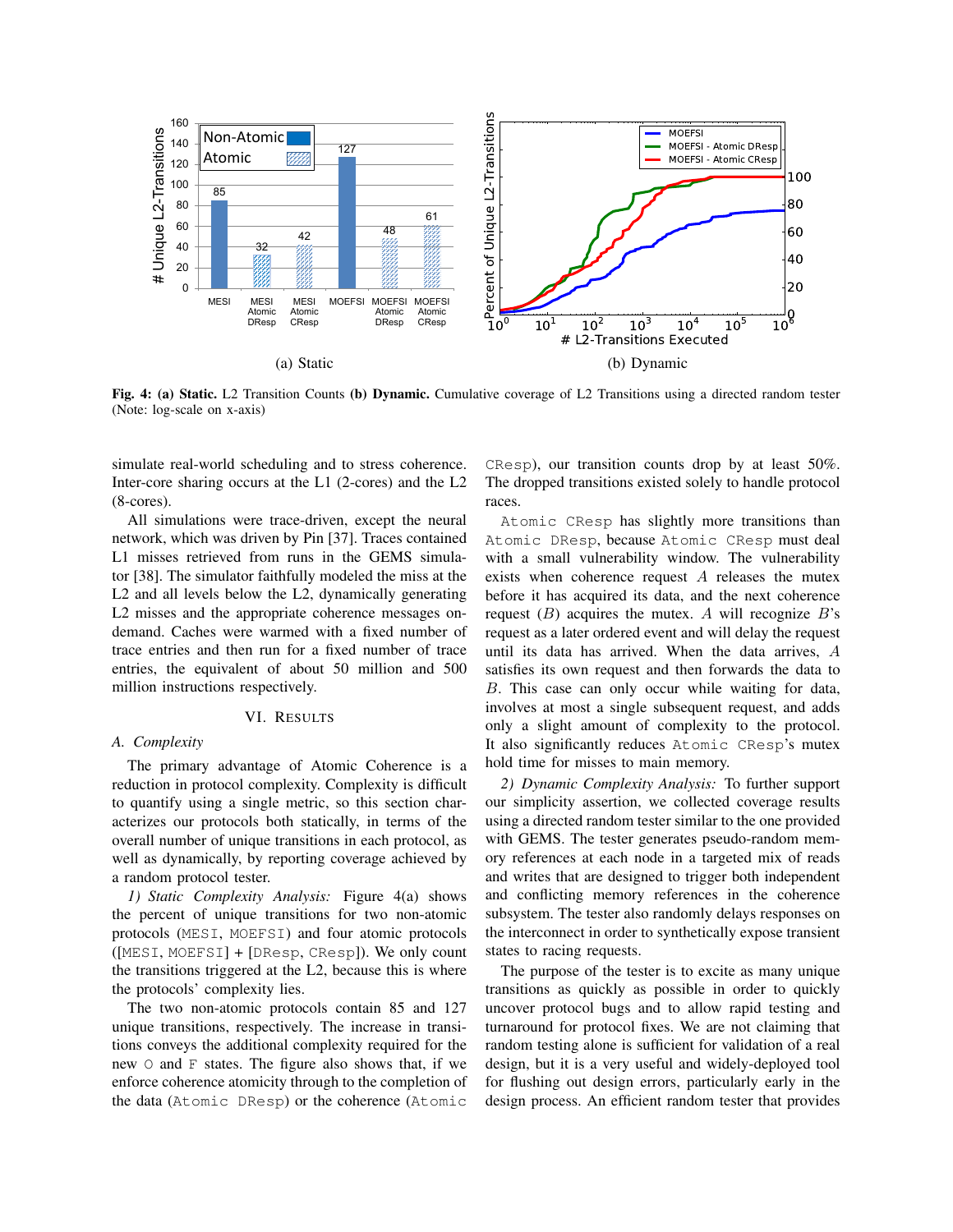

Fig. 4: (a) Static. L2 Transition Counts (b) Dynamic. Cumulative coverage of L2 Transitions using a directed random tester (Note: log-scale on x-axis)

simulate real-world scheduling and to stress coherence. Inter-core sharing occurs at the L1 (2-cores) and the L2 (8-cores).

All simulations were trace-driven, except the neural network, which was driven by Pin [37]. Traces contained L1 misses retrieved from runs in the GEMS simulator [38]. The simulator faithfully modeled the miss at the L2 and all levels below the L2, dynamically generating L2 misses and the appropriate coherence messages ondemand. Caches were warmed with a fixed number of trace entries and then run for a fixed number of trace entries, the equivalent of about 50 million and 500 million instructions respectively.

# VI. RESULTS

# *A. Complexity*

The primary advantage of Atomic Coherence is a reduction in protocol complexity. Complexity is difficult to quantify using a single metric, so this section characterizes our protocols both statically, in terms of the overall number of unique transitions in each protocol, as well as dynamically, by reporting coverage achieved by a random protocol tester.

*1) Static Complexity Analysis:* Figure 4(a) shows the percent of unique transitions for two non-atomic protocols (MESI, MOEFSI) and four atomic protocols ([MESI, MOEFSI] + [DResp, CResp]). We only count the transitions triggered at the L2, because this is where the protocols' complexity lies.

The two non-atomic protocols contain 85 and 127 unique transitions, respectively. The increase in transitions conveys the additional complexity required for the new  $\circ$  and  $\circ$  states. The figure also shows that, if we enforce coherence atomicity through to the completion of the data (Atomic DResp) or the coherence (Atomic

CResp), our transition counts drop by at least 50%. The dropped transitions existed solely to handle protocol races.

Atomic CResp has slightly more transitions than Atomic DResp, because Atomic CResp must deal with a small vulnerability window. The vulnerability exists when coherence request A releases the mutex before it has acquired its data, and the next coherence request  $(B)$  acquires the mutex. A will recognize B's request as a later ordered event and will delay the request until its data has arrived. When the data arrives, A satisfies its own request and then forwards the data to B. This case can only occur while waiting for data, involves at most a single subsequent request, and adds only a slight amount of complexity to the protocol. It also significantly reduces Atomic CResp's mutex hold time for misses to main memory.

*2) Dynamic Complexity Analysis:* To further support our simplicity assertion, we collected coverage results using a directed random tester similar to the one provided with GEMS. The tester generates pseudo-random memory references at each node in a targeted mix of reads and writes that are designed to trigger both independent and conflicting memory references in the coherence subsystem. The tester also randomly delays responses on the interconnect in order to synthetically expose transient states to racing requests.

The purpose of the tester is to excite as many unique transitions as quickly as possible in order to quickly uncover protocol bugs and to allow rapid testing and turnaround for protocol fixes. We are not claiming that random testing alone is sufficient for validation of a real design, but it is a very useful and widely-deployed tool for flushing out design errors, particularly early in the design process. An efficient random tester that provides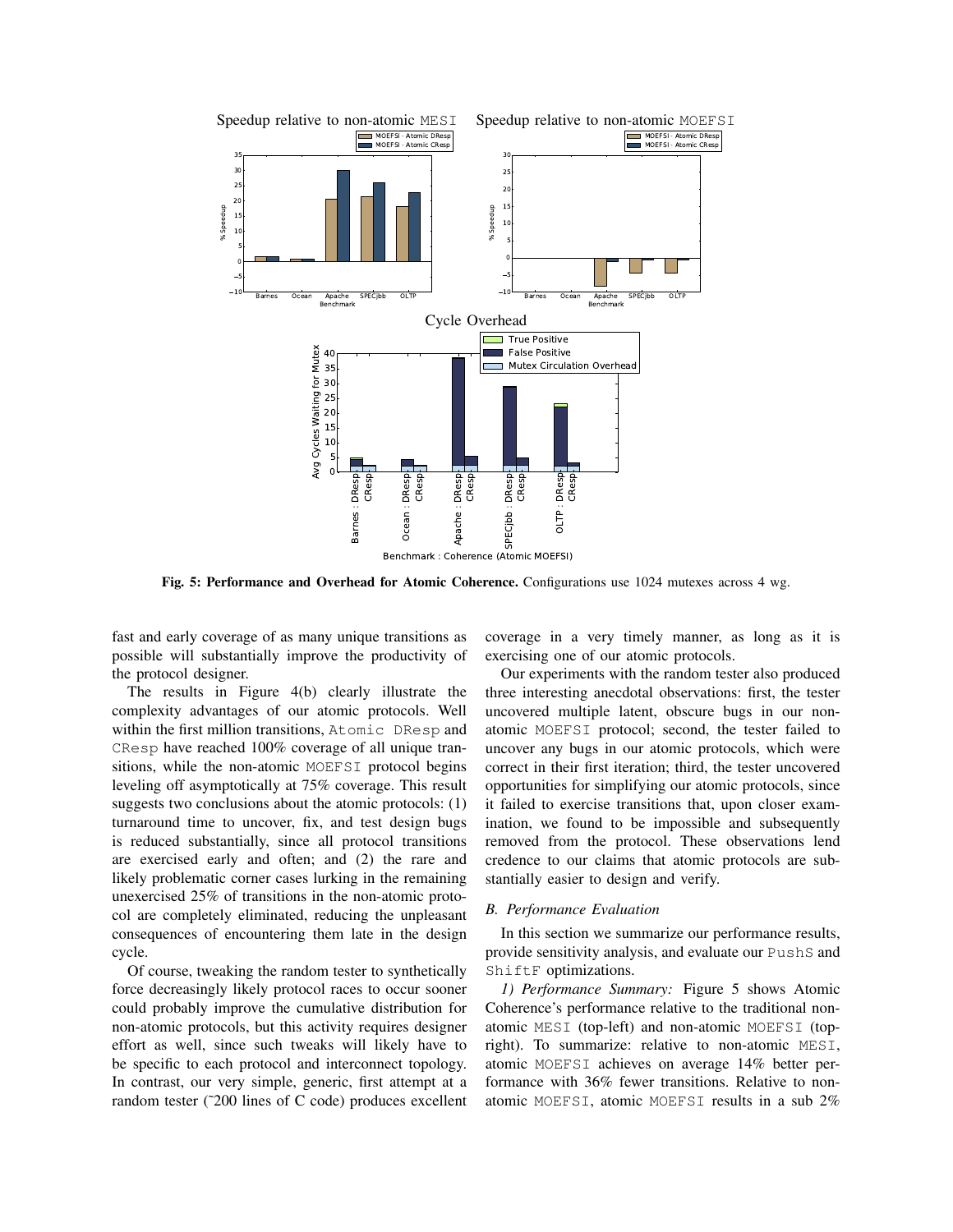

Fig. 5: Performance and Overhead for Atomic Coherence. Configurations use 1024 mutexes across 4 wg.

fast and early coverage of as many unique transitions as possible will substantially improve the productivity of the protocol designer.

The results in Figure 4(b) clearly illustrate the complexity advantages of our atomic protocols. Well within the first million transitions, Atomic DResp and CResp have reached 100% coverage of all unique transitions, while the non-atomic MOEFSI protocol begins leveling off asymptotically at 75% coverage. This result suggests two conclusions about the atomic protocols: (1) turnaround time to uncover, fix, and test design bugs is reduced substantially, since all protocol transitions are exercised early and often; and (2) the rare and likely problematic corner cases lurking in the remaining unexercised 25% of transitions in the non-atomic protocol are completely eliminated, reducing the unpleasant consequences of encountering them late in the design cycle.

Of course, tweaking the random tester to synthetically force decreasingly likely protocol races to occur sooner could probably improve the cumulative distribution for non-atomic protocols, but this activity requires designer effort as well, since such tweaks will likely have to be specific to each protocol and interconnect topology. In contrast, our very simple, generic, first attempt at a random tester (˜200 lines of C code) produces excellent

coverage in a very timely manner, as long as it is exercising one of our atomic protocols.

Our experiments with the random tester also produced three interesting anecdotal observations: first, the tester uncovered multiple latent, obscure bugs in our nonatomic MOEFSI protocol; second, the tester failed to uncover any bugs in our atomic protocols, which were correct in their first iteration; third, the tester uncovered opportunities for simplifying our atomic protocols, since it failed to exercise transitions that, upon closer examination, we found to be impossible and subsequently removed from the protocol. These observations lend credence to our claims that atomic protocols are substantially easier to design and verify.

# *B. Performance Evaluation*

In this section we summarize our performance results, provide sensitivity analysis, and evaluate our PushS and ShiftF optimizations.

*1) Performance Summary:* Figure 5 shows Atomic Coherence's performance relative to the traditional nonatomic MESI (top-left) and non-atomic MOEFSI (topright). To summarize: relative to non-atomic MESI, atomic MOEFSI achieves on average 14% better performance with 36% fewer transitions. Relative to nonatomic MOEFSI, atomic MOEFSI results in a sub 2%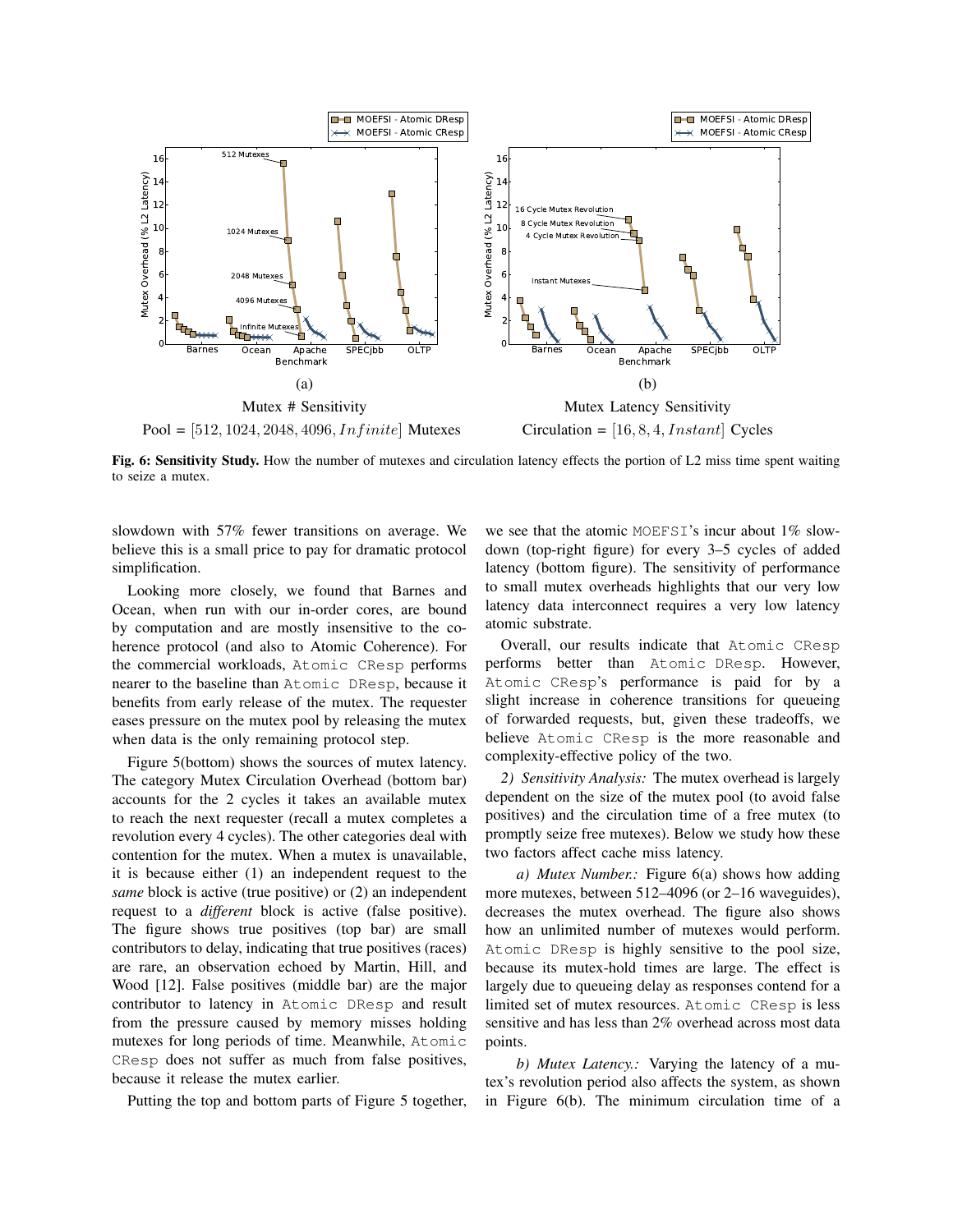

Fig. 6: Sensitivity Study. How the number of mutexes and circulation latency effects the portion of L2 miss time spent waiting to seize a mutex.

slowdown with 57% fewer transitions on average. We believe this is a small price to pay for dramatic protocol simplification.

Looking more closely, we found that Barnes and Ocean, when run with our in-order cores, are bound by computation and are mostly insensitive to the coherence protocol (and also to Atomic Coherence). For the commercial workloads, Atomic CResp performs nearer to the baseline than Atomic DResp, because it benefits from early release of the mutex. The requester eases pressure on the mutex pool by releasing the mutex when data is the only remaining protocol step.

Figure 5(bottom) shows the sources of mutex latency. The category Mutex Circulation Overhead (bottom bar) accounts for the 2 cycles it takes an available mutex to reach the next requester (recall a mutex completes a revolution every 4 cycles). The other categories deal with contention for the mutex. When a mutex is unavailable, it is because either (1) an independent request to the *same* block is active (true positive) or (2) an independent request to a *different* block is active (false positive). The figure shows true positives (top bar) are small contributors to delay, indicating that true positives (races) are rare, an observation echoed by Martin, Hill, and Wood [12]. False positives (middle bar) are the major contributor to latency in Atomic DResp and result from the pressure caused by memory misses holding mutexes for long periods of time. Meanwhile, Atomic CResp does not suffer as much from false positives, because it release the mutex earlier.

Putting the top and bottom parts of Figure 5 together,

we see that the atomic MOEFSI's incur about 1% slowdown (top-right figure) for every 3–5 cycles of added latency (bottom figure). The sensitivity of performance to small mutex overheads highlights that our very low latency data interconnect requires a very low latency atomic substrate.

Overall, our results indicate that Atomic CResp performs better than Atomic DResp. However, Atomic CResp's performance is paid for by a slight increase in coherence transitions for queueing of forwarded requests, but, given these tradeoffs, we believe Atomic CResp is the more reasonable and complexity-effective policy of the two.

*2) Sensitivity Analysis:* The mutex overhead is largely dependent on the size of the mutex pool (to avoid false positives) and the circulation time of a free mutex (to promptly seize free mutexes). Below we study how these two factors affect cache miss latency.

*a) Mutex Number.:* Figure 6(a) shows how adding more mutexes, between 512–4096 (or 2–16 waveguides), decreases the mutex overhead. The figure also shows how an unlimited number of mutexes would perform. Atomic DResp is highly sensitive to the pool size, because its mutex-hold times are large. The effect is largely due to queueing delay as responses contend for a limited set of mutex resources. Atomic CResp is less sensitive and has less than 2% overhead across most data points.

*b) Mutex Latency.:* Varying the latency of a mutex's revolution period also affects the system, as shown in Figure 6(b). The minimum circulation time of a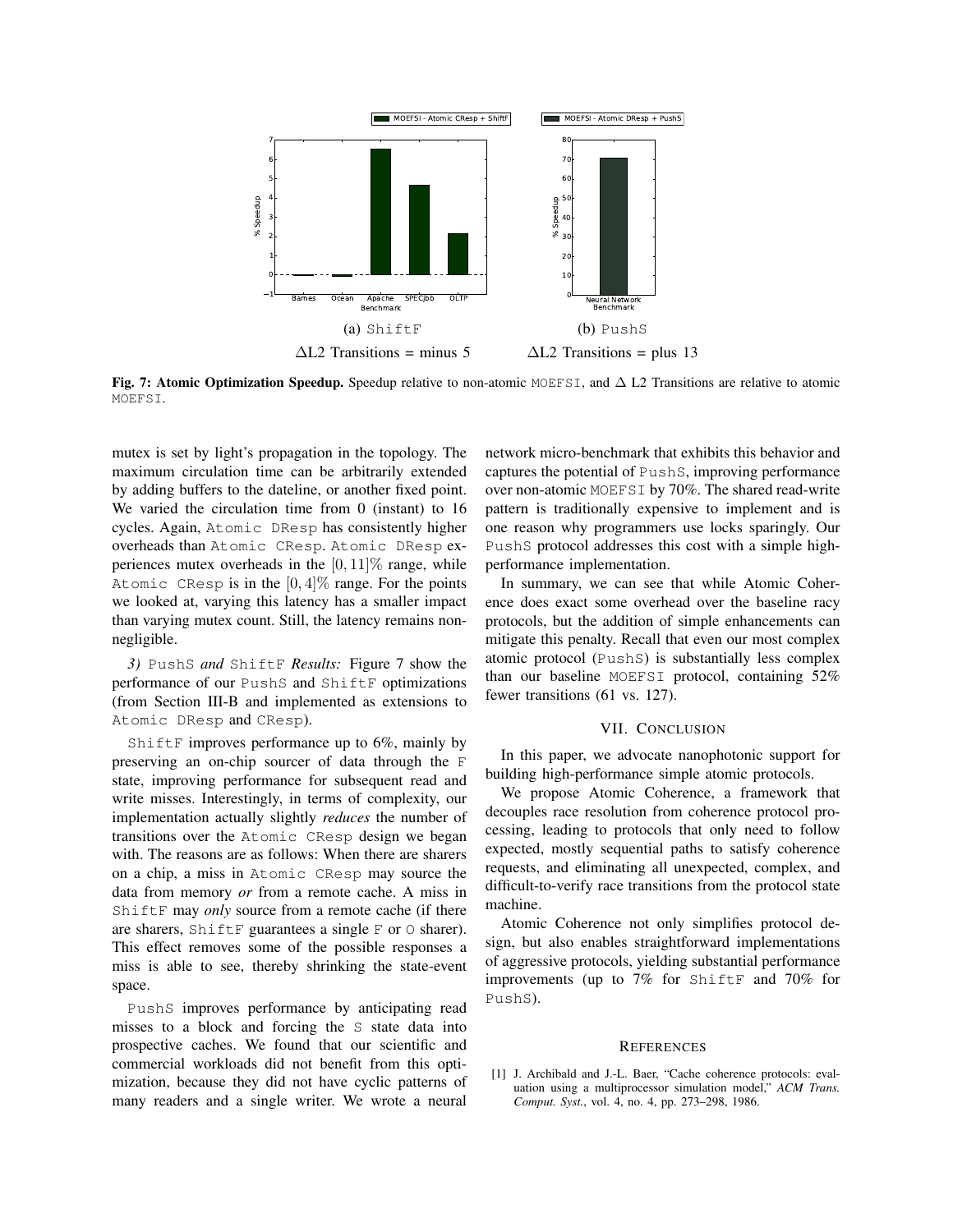

Fig. 7: Atomic Optimization Speedup. Speedup relative to non-atomic MOEFSI, and  $\Delta$  L2 Transitions are relative to atomic MOEFSI.

mutex is set by light's propagation in the topology. The maximum circulation time can be arbitrarily extended by adding buffers to the dateline, or another fixed point. We varied the circulation time from 0 (instant) to 16 cycles. Again, Atomic DResp has consistently higher overheads than Atomic CResp. Atomic DResp experiences mutex overheads in the  $[0, 11]\%$  range, while Atomic CResp is in the  $[0, 4]$ % range. For the points we looked at, varying this latency has a smaller impact than varying mutex count. Still, the latency remains nonnegligible.

*3)* PushS *and* ShiftF *Results:* Figure 7 show the performance of our PushS and ShiftF optimizations (from Section III-B and implemented as extensions to Atomic DResp and CResp).

ShiftF improves performance up to  $6\%$ , mainly by preserving an on-chip sourcer of data through the F state, improving performance for subsequent read and write misses. Interestingly, in terms of complexity, our implementation actually slightly *reduces* the number of transitions over the Atomic CResp design we began with. The reasons are as follows: When there are sharers on a chip, a miss in Atomic CResp may source the data from memory *or* from a remote cache. A miss in ShiftF may *only* source from a remote cache (if there are sharers, ShiftF guarantees a single  $F$  or  $\circ$  sharer). This effect removes some of the possible responses a miss is able to see, thereby shrinking the state-event space.

PushS improves performance by anticipating read misses to a block and forcing the S state data into prospective caches. We found that our scientific and commercial workloads did not benefit from this optimization, because they did not have cyclic patterns of many readers and a single writer. We wrote a neural

network micro-benchmark that exhibits this behavior and captures the potential of PushS, improving performance over non-atomic MOEFSI by 70%. The shared read-write pattern is traditionally expensive to implement and is one reason why programmers use locks sparingly. Our PushS protocol addresses this cost with a simple highperformance implementation.

In summary, we can see that while Atomic Coherence does exact some overhead over the baseline racy protocols, but the addition of simple enhancements can mitigate this penalty. Recall that even our most complex atomic protocol (PushS) is substantially less complex than our baseline MOEFSI protocol, containing 52% fewer transitions (61 vs. 127).

## VII. CONCLUSION

In this paper, we advocate nanophotonic support for building high-performance simple atomic protocols.

We propose Atomic Coherence, a framework that decouples race resolution from coherence protocol processing, leading to protocols that only need to follow expected, mostly sequential paths to satisfy coherence requests, and eliminating all unexpected, complex, and difficult-to-verify race transitions from the protocol state machine.

Atomic Coherence not only simplifies protocol design, but also enables straightforward implementations of aggressive protocols, yielding substantial performance improvements (up to 7% for ShiftF and 70% for PushS).

#### **REFERENCES**

[1] J. Archibald and J.-L. Baer, "Cache coherence protocols: evaluation using a multiprocessor simulation model," *ACM Trans. Comput. Syst.*, vol. 4, no. 4, pp. 273–298, 1986.